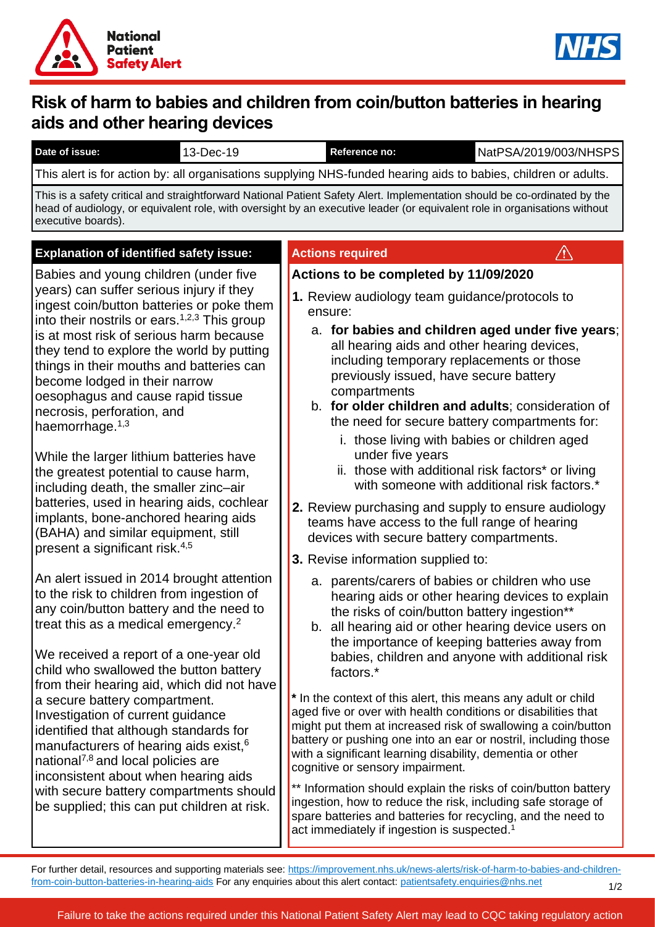



# **Risk of harm to babies and children from coin/button batteries in hearing aids and other hearing devices**

| Date of issue:                                                                                                                                                                                                                                                                                                                                                                                                                                                                                                                                                                                                                                                                                                                                         | 13-Dec-19 |  | Reference no:                                                                                                                                                                                                     | NatPSA/2019/003/NHSPS                                                                                                                                                                                                                                                                                                                                                                                                                                                                                                                                                                                                                                                                                                                                                                                                                              |
|--------------------------------------------------------------------------------------------------------------------------------------------------------------------------------------------------------------------------------------------------------------------------------------------------------------------------------------------------------------------------------------------------------------------------------------------------------------------------------------------------------------------------------------------------------------------------------------------------------------------------------------------------------------------------------------------------------------------------------------------------------|-----------|--|-------------------------------------------------------------------------------------------------------------------------------------------------------------------------------------------------------------------|----------------------------------------------------------------------------------------------------------------------------------------------------------------------------------------------------------------------------------------------------------------------------------------------------------------------------------------------------------------------------------------------------------------------------------------------------------------------------------------------------------------------------------------------------------------------------------------------------------------------------------------------------------------------------------------------------------------------------------------------------------------------------------------------------------------------------------------------------|
| This alert is for action by: all organisations supplying NHS-funded hearing aids to babies, children or adults.                                                                                                                                                                                                                                                                                                                                                                                                                                                                                                                                                                                                                                        |           |  |                                                                                                                                                                                                                   |                                                                                                                                                                                                                                                                                                                                                                                                                                                                                                                                                                                                                                                                                                                                                                                                                                                    |
| This is a safety critical and straightforward National Patient Safety Alert. Implementation should be co-ordinated by the<br>head of audiology, or equivalent role, with oversight by an executive leader (or equivalent role in organisations without<br>executive boards).                                                                                                                                                                                                                                                                                                                                                                                                                                                                           |           |  |                                                                                                                                                                                                                   |                                                                                                                                                                                                                                                                                                                                                                                                                                                                                                                                                                                                                                                                                                                                                                                                                                                    |
| <b>Explanation of identified safety issue:</b>                                                                                                                                                                                                                                                                                                                                                                                                                                                                                                                                                                                                                                                                                                         |           |  | <b>Actions required</b>                                                                                                                                                                                           | /!\                                                                                                                                                                                                                                                                                                                                                                                                                                                                                                                                                                                                                                                                                                                                                                                                                                                |
| Babies and young children (under five<br>years) can suffer serious injury if they<br>ingest coin/button batteries or poke them<br>into their nostrils or ears. $1,2,3$ This group<br>is at most risk of serious harm because<br>they tend to explore the world by putting<br>things in their mouths and batteries can<br>become lodged in their narrow<br>oesophagus and cause rapid tissue<br>necrosis, perforation, and<br>haemorrhage. $1,3$<br>While the larger lithium batteries have<br>the greatest potential to cause harm,<br>including death, the smaller zinc-air<br>batteries, used in hearing aids, cochlear<br>implants, bone-anchored hearing aids<br>(BAHA) and similar equipment, still<br>present a significant risk. <sup>4,5</sup> |           |  | Actions to be completed by 11/09/2020<br>ensure:<br>previously issued, have secure battery<br>compartments<br>under five years<br>devices with secure battery compartments.<br>3. Revise information supplied to: | 1. Review audiology team guidance/protocols to<br>a. for babies and children aged under five years;<br>all hearing aids and other hearing devices,<br>including temporary replacements or those<br>b. for older children and adults; consideration of<br>the need for secure battery compartments for:<br>i. those living with babies or children aged<br>ii. those with additional risk factors* or living<br>with someone with additional risk factors.*<br>2. Review purchasing and supply to ensure audiology<br>teams have access to the full range of hearing                                                                                                                                                                                                                                                                                |
| An alert issued in 2014 brought attention<br>to the risk to children from ingestion of<br>any coin/button battery and the need to<br>treat this as a medical emergency. <sup>2</sup><br>We received a report of a one-year old<br>child who swallowed the button battery<br>from their hearing aid, which did not have<br>a secure battery compartment.<br>Investigation of current guidance<br>identified that although standards for<br>manufacturers of hearing aids exist, <sup>6</sup><br>national <sup>7,8</sup> and local policies are<br>inconsistent about when hearing aids<br>with secure battery compartments should<br>be supplied; this can put children at risk.                                                                        |           |  | factors.*<br>cognitive or sensory impairment.<br>act immediately if ingestion is suspected. <sup>1</sup>                                                                                                          | a. parents/carers of babies or children who use<br>hearing aids or other hearing devices to explain<br>the risks of coin/button battery ingestion**<br>b. all hearing aid or other hearing device users on<br>the importance of keeping batteries away from<br>babies, children and anyone with additional risk<br>* In the context of this alert, this means any adult or child<br>aged five or over with health conditions or disabilities that<br>might put them at increased risk of swallowing a coin/button<br>battery or pushing one into an ear or nostril, including those<br>with a significant learning disability, dementia or other<br>** Information should explain the risks of coin/button battery<br>ingestion, how to reduce the risk, including safe storage of<br>spare batteries and batteries for recycling, and the need to |

For further detail, resources and supporting materials see: [https://improvement.nhs.uk/news-alerts/risk-of-harm-to-babies-and-children](https://improvement.nhs.uk/news-alerts/risk-of-harm-to-babies-and-children-from-coin-button-batteries-in-hearing-aids)[from-coin-button-batteries-in-hearing-aids](https://improvement.nhs.uk/news-alerts/risk-of-harm-to-babies-and-children-from-coin-button-batteries-in-hearing-aids) For any enquiries about this alert contact: [patientsafety.enquiries@nhs.net](mailto:patientsafety.enquiries@nhs.net) 1/2